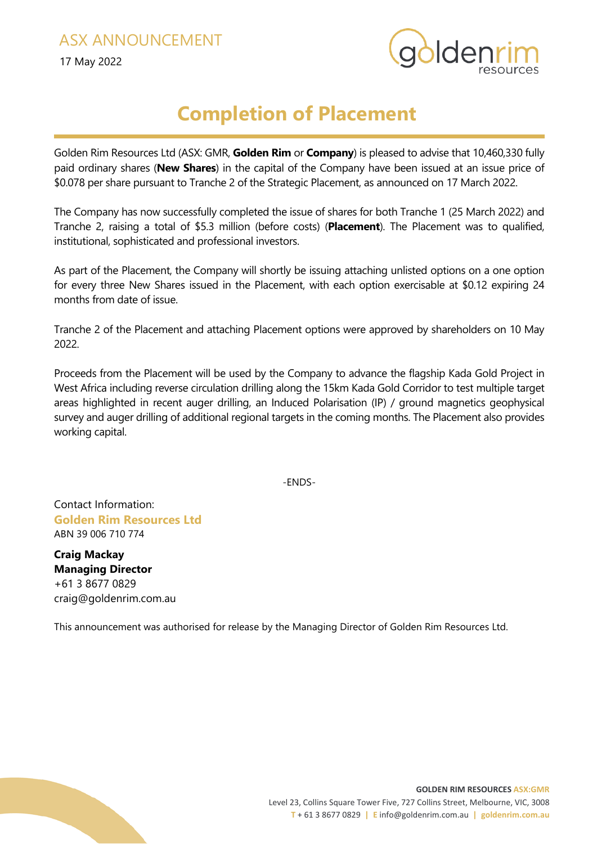17 May 2022



## **Completion of Placement**

Golden Rim Resources Ltd (ASX: GMR, **Golden Rim** or **Company**) is pleased to advise that 10,460,330 fully paid ordinary shares (**New Shares**) in the capital of the Company have been issued at an issue price of \$0.078 per share pursuant to Tranche 2 of the Strategic Placement, as announced on 17 March 2022.

The Company has now successfully completed the issue of shares for both Tranche 1 (25 March 2022) and Tranche 2, raising a total of \$5.3 million (before costs) (**Placement**). The Placement was to qualified, institutional, sophisticated and professional investors.

As part of the Placement, the Company will shortly be issuing attaching unlisted options on a one option for every three New Shares issued in the Placement, with each option exercisable at \$0.12 expiring 24 months from date of issue.

Tranche 2 of the Placement and attaching Placement options were approved by shareholders on 10 May 2022.

Proceeds from the Placement will be used by the Company to advance the flagship Kada Gold Project in West Africa including reverse circulation drilling along the 15km Kada Gold Corridor to test multiple target areas highlighted in recent auger drilling, an Induced Polarisation (IP) / ground magnetics geophysical survey and auger drilling of additional regional targets in the coming months. The Placement also provides working capital.

-ENDS-

Contact Information: **Golden Rim Resources Ltd** ABN 39 006 710 774

**Craig Mackay Managing Director** +61 3 8677 0829 [craig@goldenrim.com.au](mailto:craig@goldenrim.com.au)

This announcement was authorised for release by the Managing Director of Golden Rim Resources Ltd.